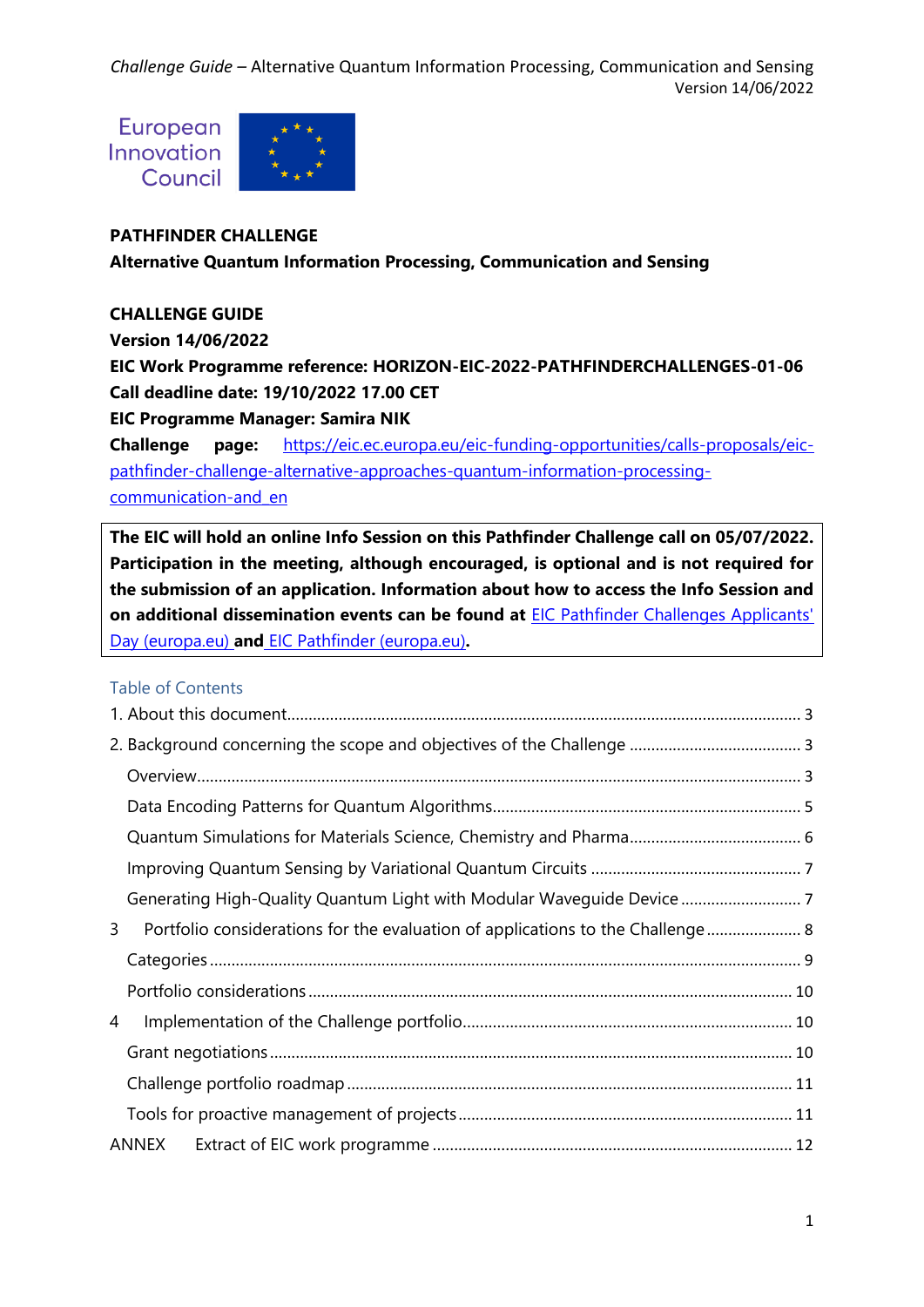European Innovation Council



# **PATHFINDER CHALLENGE**

**Alternative Quantum Information Processing, Communication and Sensing**

# **CHALLENGE GUIDE**

**Version 14/06/2022**

**EIC Work Programme reference: HORIZON-EIC-2022-PATHFINDERCHALLENGES-01-06 Call deadline date: 19/10/2022 17.00 CET**

**EIC Programme Manager: Samira NIK**

**Challenge page:** [https://eic.ec.europa.eu/eic-funding-opportunities/calls-proposals/eic](https://eic.ec.europa.eu/eic-funding-opportunities/calls-proposals/eic-pathfinder-challenge-alternative-approaches-quantum-information-processing-communication-and_en)[pathfinder-challenge-alternative-approaches-quantum-information-processing](https://eic.ec.europa.eu/eic-funding-opportunities/calls-proposals/eic-pathfinder-challenge-alternative-approaches-quantum-information-processing-communication-and_en)[communication-and\\_en](https://eic.ec.europa.eu/eic-funding-opportunities/calls-proposals/eic-pathfinder-challenge-alternative-approaches-quantum-information-processing-communication-and_en)

**The EIC will hold an online Info Session on this Pathfinder Challenge call on 05/07/2022. Participation in the meeting, although encouraged, is optional and is not required for the submission of an application. Information about how to access the Info Session and on additional dissemination events can be found at** [EIC Pathfinder Challenges Applicants'](https://eic.ec.europa.eu/events/eic-pathfinder-challenges-applicants-day-2022-07-05_en)  [Day \(europa.eu\)](https://eic.ec.europa.eu/events/eic-pathfinder-challenges-applicants-day-2022-07-05_en) **and** [EIC Pathfinder \(europa.eu\)](https://eic.ec.europa.eu/eic-funding-opportunities/eic-pathfinder_en)**.**

### Table of Contents

| 3 | Portfolio considerations for the evaluation of applications to the Challenge 8 |  |
|---|--------------------------------------------------------------------------------|--|
|   |                                                                                |  |
|   |                                                                                |  |
| 4 |                                                                                |  |
|   |                                                                                |  |
|   |                                                                                |  |
|   |                                                                                |  |
|   | ANNEX                                                                          |  |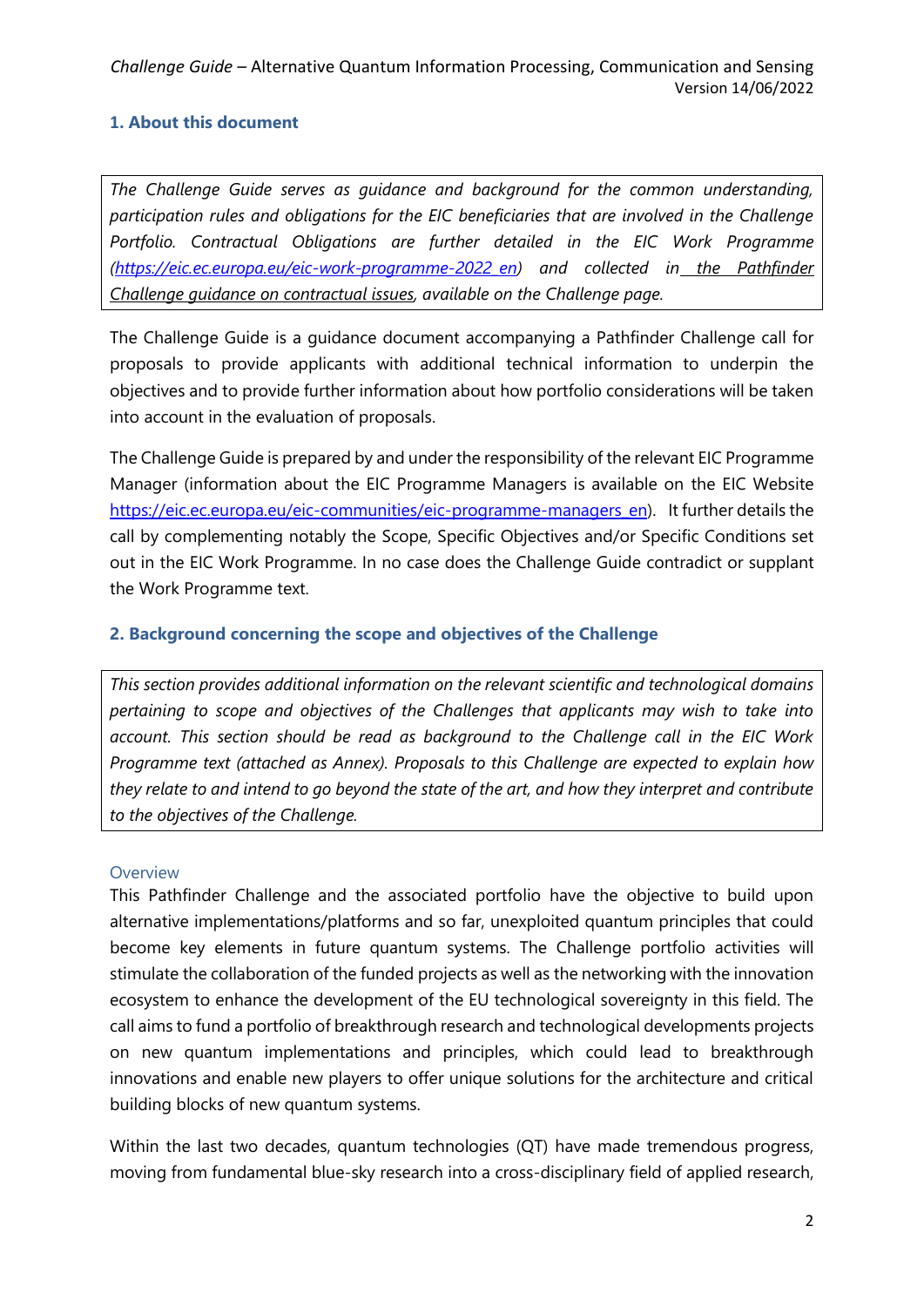# <span id="page-1-0"></span>**1. About this document**

*The Challenge Guide serves as guidance and background for the common understanding, participation rules and obligations for the EIC beneficiaries that are involved in the Challenge Portfolio. Contractual Obligations are further detailed in the EIC Work Programme [\(https://eic.ec.europa.eu/eic-work-programme-2022\\_en\)](https://eic.ec.europa.eu/eic-work-programme-2022_en) and collected in the Pathfinder Challenge guidance on contractual issues, available on the Challenge page.*

The Challenge Guide is a guidance document accompanying a Pathfinder Challenge call for proposals to provide applicants with additional technical information to underpin the objectives and to provide further information about how portfolio considerations will be taken into account in the evaluation of proposals.

The Challenge Guide is prepared by and under the responsibility of the relevant EIC Programme Manager (information about the EIC Programme Managers is available on the EIC Website [https://eic.ec.europa.eu/eic-communities/eic-programme-managers\\_en\)](https://eic.ec.europa.eu/eic-communities/eic-programme-managers_en). It further details the call by complementing notably the Scope, Specific Objectives and/or Specific Conditions set out in the EIC Work Programme. In no case does the Challenge Guide contradict or supplant the Work Programme text.

### <span id="page-1-1"></span>**2. Background concerning the scope and objectives of the Challenge**

*This section provides additional information on the relevant scientific and technological domains pertaining to scope and objectives of the Challenges that applicants may wish to take into account. This section should be read as background to the Challenge call in the EIC Work Programme text (attached as Annex). Proposals to this Challenge are expected to explain how they relate to and intend to go beyond the state of the art, and how they interpret and contribute to the objectives of the Challenge.* 

#### <span id="page-1-2"></span>**Overview**

This Pathfinder Challenge and the associated portfolio have the objective to build upon alternative implementations/platforms and so far, unexploited quantum principles that could become key elements in future quantum systems. The Challenge portfolio activities will stimulate the collaboration of the funded projects as well as the networking with the innovation ecosystem to enhance the development of the EU technological sovereignty in this field. The call aims to fund a portfolio of breakthrough research and technological developments projects on new quantum implementations and principles, which could lead to breakthrough innovations and enable new players to offer unique solutions for the architecture and critical building blocks of new quantum systems.

Within the last two decades, quantum technologies (QT) have made tremendous progress, moving from fundamental blue-sky research into a cross-disciplinary field of applied research,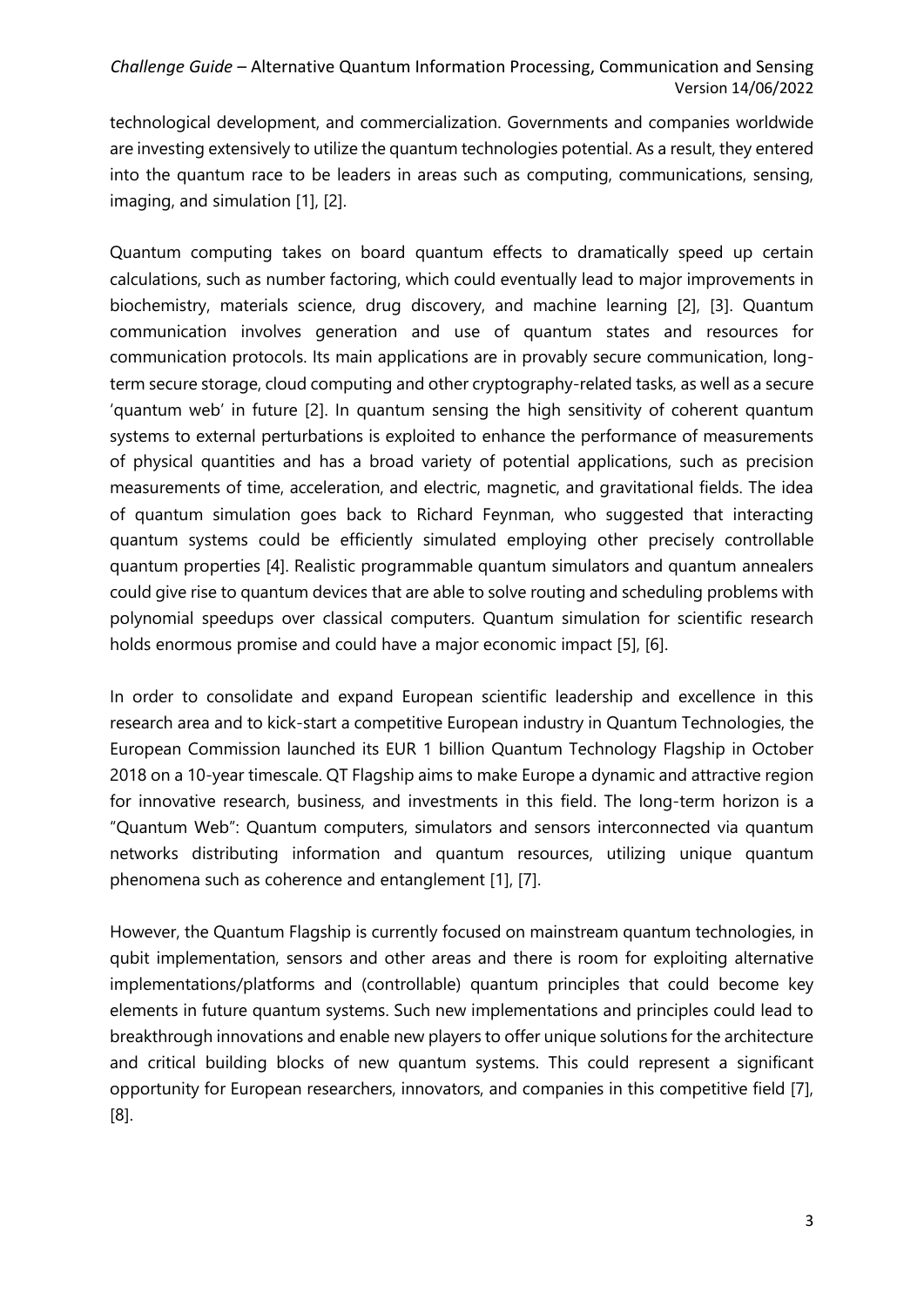technological development, and commercialization. Governments and companies worldwide are investing extensively to utilize the quantum technologies potential. As a result, they entered into the quantum race to be leaders in areas such as computing, communications, sensing, imaging, and simulation [1], [2].

Quantum computing takes on board quantum effects to dramatically speed up certain calculations, such as number factoring, which could eventually lead to major improvements in biochemistry, materials science, drug discovery, and machine learning [2], [3]. Quantum communication involves generation and use of quantum states and resources for communication protocols. Its main applications are in provably secure communication, longterm secure storage, cloud computing and other cryptography-related tasks, as well as a secure 'quantum web' in future [2]. In quantum sensing the high sensitivity of coherent quantum systems to external perturbations is exploited to enhance the performance of measurements of physical quantities and has a broad variety of potential applications, such as precision measurements of time, acceleration, and electric, magnetic, and gravitational fields. The idea of quantum simulation goes back to Richard Feynman, who suggested that interacting quantum systems could be efficiently simulated employing other precisely controllable quantum properties [4]. Realistic programmable quantum simulators and quantum annealers could give rise to quantum devices that are able to solve routing and scheduling problems with polynomial speedups over classical computers. Quantum simulation for scientific research holds enormous promise and could have a major economic impact [5], [6].

In order to consolidate and expand European scientific leadership and excellence in this research area and to kick-start a competitive European industry in Quantum Technologies, the European Commission launched its EUR 1 billion Quantum Technology Flagship in October 2018 on a 10-year timescale. QT Flagship aims to make Europe a dynamic and attractive region for innovative research, business, and investments in this field. The long-term horizon is a "Quantum Web": Quantum computers, simulators and sensors interconnected via quantum networks distributing information and quantum resources, utilizing unique quantum phenomena such as coherence and entanglement [1], [7].

However, the Quantum Flagship is currently focused on mainstream quantum technologies, in qubit implementation, sensors and other areas and there is room for exploiting alternative implementations/platforms and (controllable) quantum principles that could become key elements in future quantum systems. Such new implementations and principles could lead to breakthrough innovations and enable new players to offer unique solutions for the architecture and critical building blocks of new quantum systems. This could represent a significant opportunity for European researchers, innovators, and companies in this competitive field [7], [8].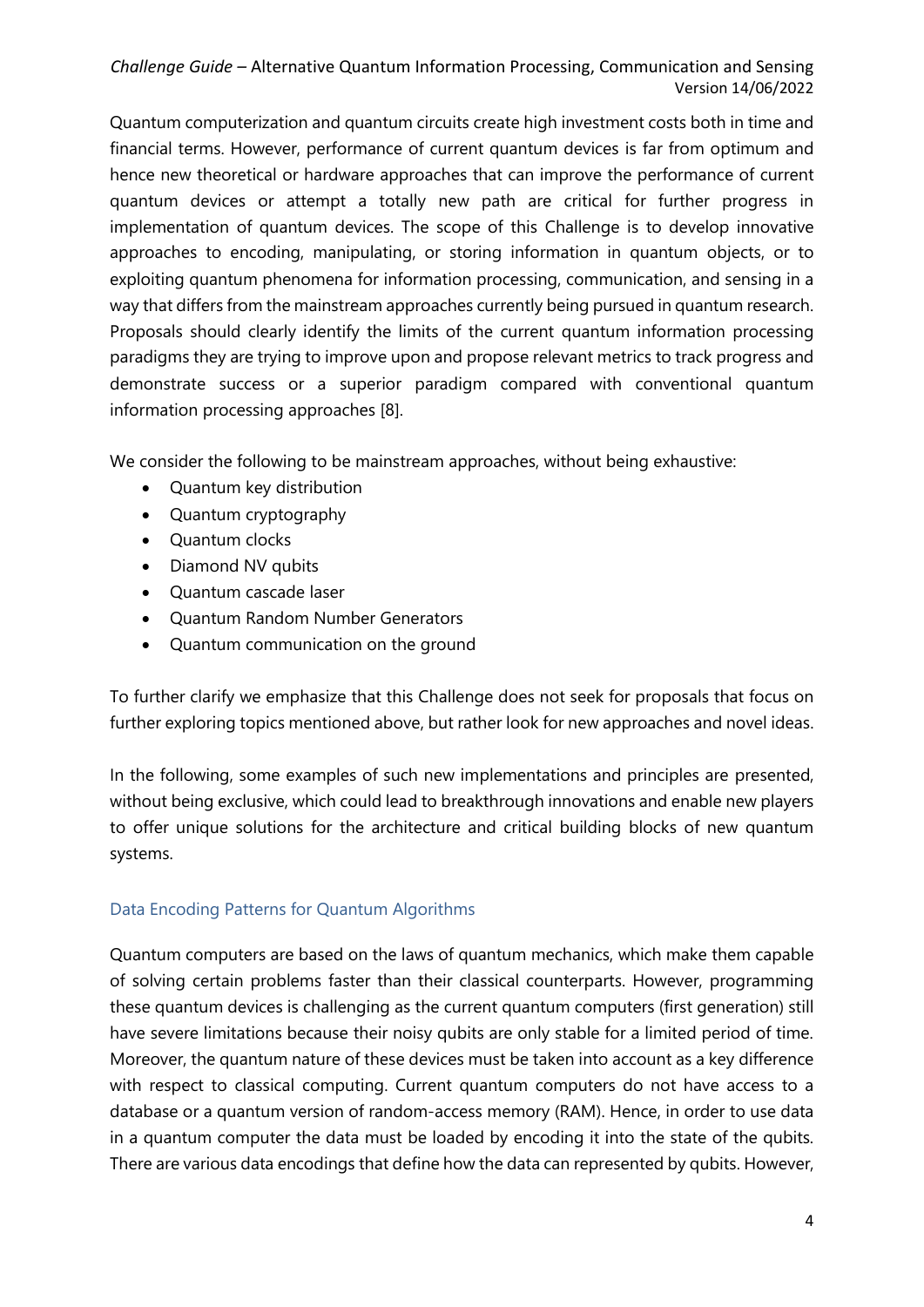Quantum computerization and quantum circuits create high investment costs both in time and financial terms. However, performance of current quantum devices is far from optimum and hence new theoretical or hardware approaches that can improve the performance of current quantum devices or attempt a totally new path are critical for further progress in implementation of quantum devices. The scope of this Challenge is to develop innovative approaches to encoding, manipulating, or storing information in quantum objects, or to exploiting quantum phenomena for information processing, communication, and sensing in a way that differs from the mainstream approaches currently being pursued in quantum research. Proposals should clearly identify the limits of the current quantum information processing paradigms they are trying to improve upon and propose relevant metrics to track progress and demonstrate success or a superior paradigm compared with conventional quantum information processing approaches [8].

We consider the following to be mainstream approaches, without being exhaustive:

- Quantum key distribution
- Quantum cryptography
- Quantum clocks
- Diamond NV qubits
- Quantum cascade laser
- Quantum Random Number Generators
- Quantum communication on the ground

To further clarify we emphasize that this Challenge does not seek for proposals that focus on further exploring topics mentioned above, but rather look for new approaches and novel ideas.

In the following, some examples of such new implementations and principles are presented, without being exclusive, which could lead to breakthrough innovations and enable new players to offer unique solutions for the architecture and critical building blocks of new quantum systems.

### <span id="page-3-0"></span>Data Encoding Patterns for Quantum Algorithms

Quantum computers are based on the laws of quantum mechanics, which make them capable of solving certain problems faster than their classical counterparts. However, programming these quantum devices is challenging as the current quantum computers (first generation) still have severe limitations because their noisy qubits are only stable for a limited period of time. Moreover, the quantum nature of these devices must be taken into account as a key difference with respect to classical computing. Current quantum computers do not have access to a database or a quantum version of random-access memory (RAM). Hence, in order to use data in a quantum computer the data must be loaded by encoding it into the state of the qubits. There are various data encodings that define how the data can represented by qubits. However,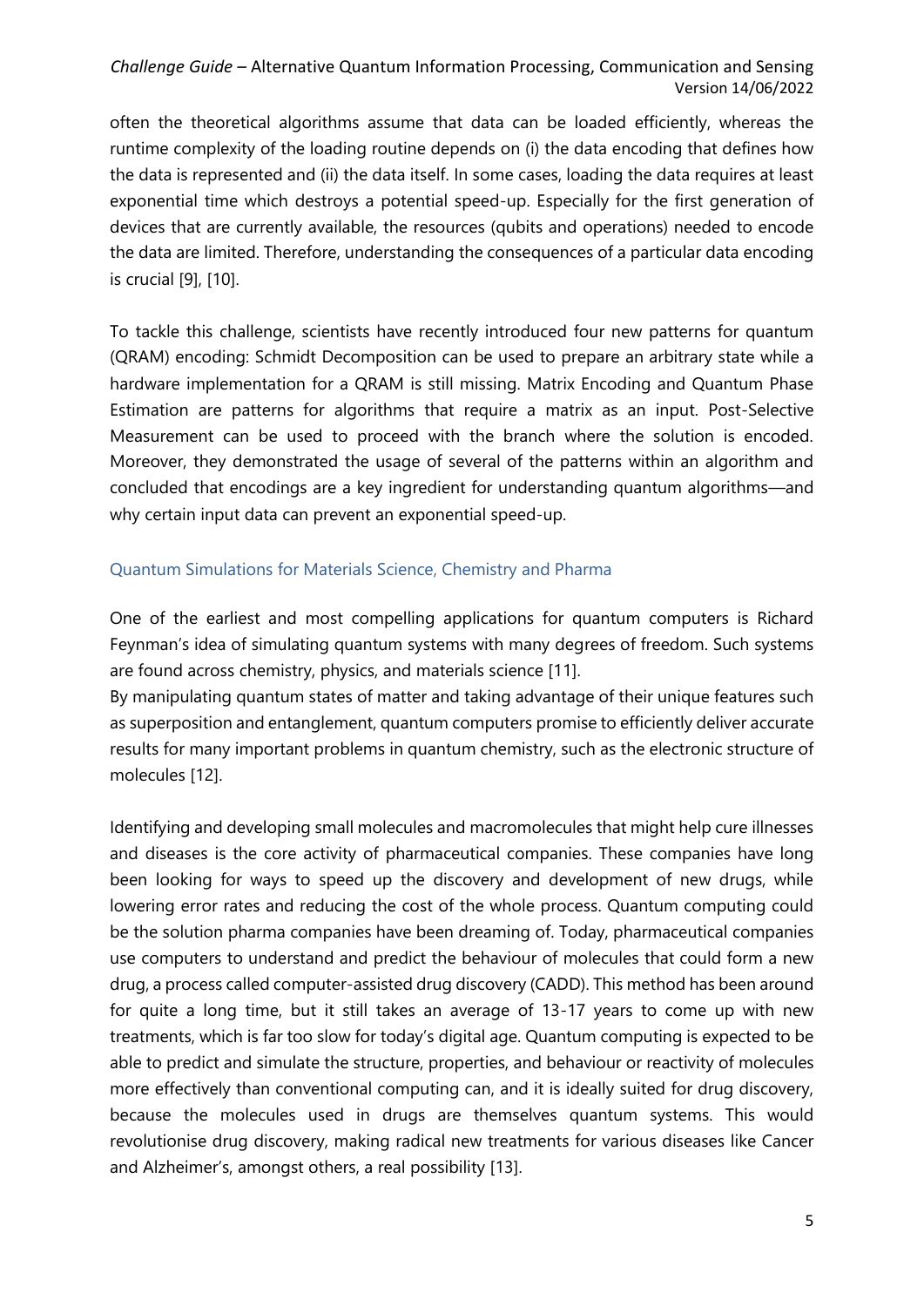often the theoretical algorithms assume that data can be loaded efficiently, whereas the runtime complexity of the loading routine depends on (i) the data encoding that defines how the data is represented and (ii) the data itself. In some cases, loading the data requires at least exponential time which destroys a potential speed-up. Especially for the first generation of devices that are currently available, the resources (qubits and operations) needed to encode the data are limited. Therefore, understanding the consequences of a particular data encoding is crucial [9], [10].

To tackle this challenge, scientists have recently introduced four new patterns for quantum (QRAM) encoding: Schmidt Decomposition can be used to prepare an arbitrary state while a hardware implementation for a QRAM is still missing. Matrix Encoding and Quantum Phase Estimation are patterns for algorithms that require a matrix as an input. Post-Selective Measurement can be used to proceed with the branch where the solution is encoded. Moreover, they demonstrated the usage of several of the patterns within an algorithm and concluded that encodings are a key ingredient for understanding quantum algorithms—and why certain input data can prevent an exponential speed-up.

### <span id="page-4-0"></span>Quantum Simulations for Materials Science, Chemistry and Pharma

One of the earliest and most compelling applications for quantum computers is Richard Feynman's idea of simulating quantum systems with many degrees of freedom. Such systems are found across chemistry, physics, and materials science [11].

By manipulating quantum states of matter and taking advantage of their unique features such as superposition and entanglement, quantum computers promise to efficiently deliver accurate results for many important problems in quantum chemistry, such as the electronic structure of molecules [12].

Identifying and developing small molecules and macromolecules that might help cure illnesses and diseases is the core activity of pharmaceutical companies. These companies have long been looking for ways to speed up the discovery and development of new drugs, while lowering error rates and reducing the cost of the whole process. Quantum computing could be the solution pharma companies have been dreaming of. Today, pharmaceutical companies use computers to understand and predict the behaviour of molecules that could form a new drug, a process called computer-assisted drug discovery (CADD). This method has been around for quite a long time, but it still takes an average of 13-17 years to come up with new treatments, which is far too slow for today's digital age. Quantum computing is expected to be able to predict and simulate the structure, properties, and behaviour or reactivity of molecules more effectively than conventional computing can, and it is ideally suited for drug discovery, because the molecules used in drugs are themselves quantum systems. This would revolutionise drug discovery, making radical new treatments for various diseases like Cancer and Alzheimer's, amongst others, a real possibility [13].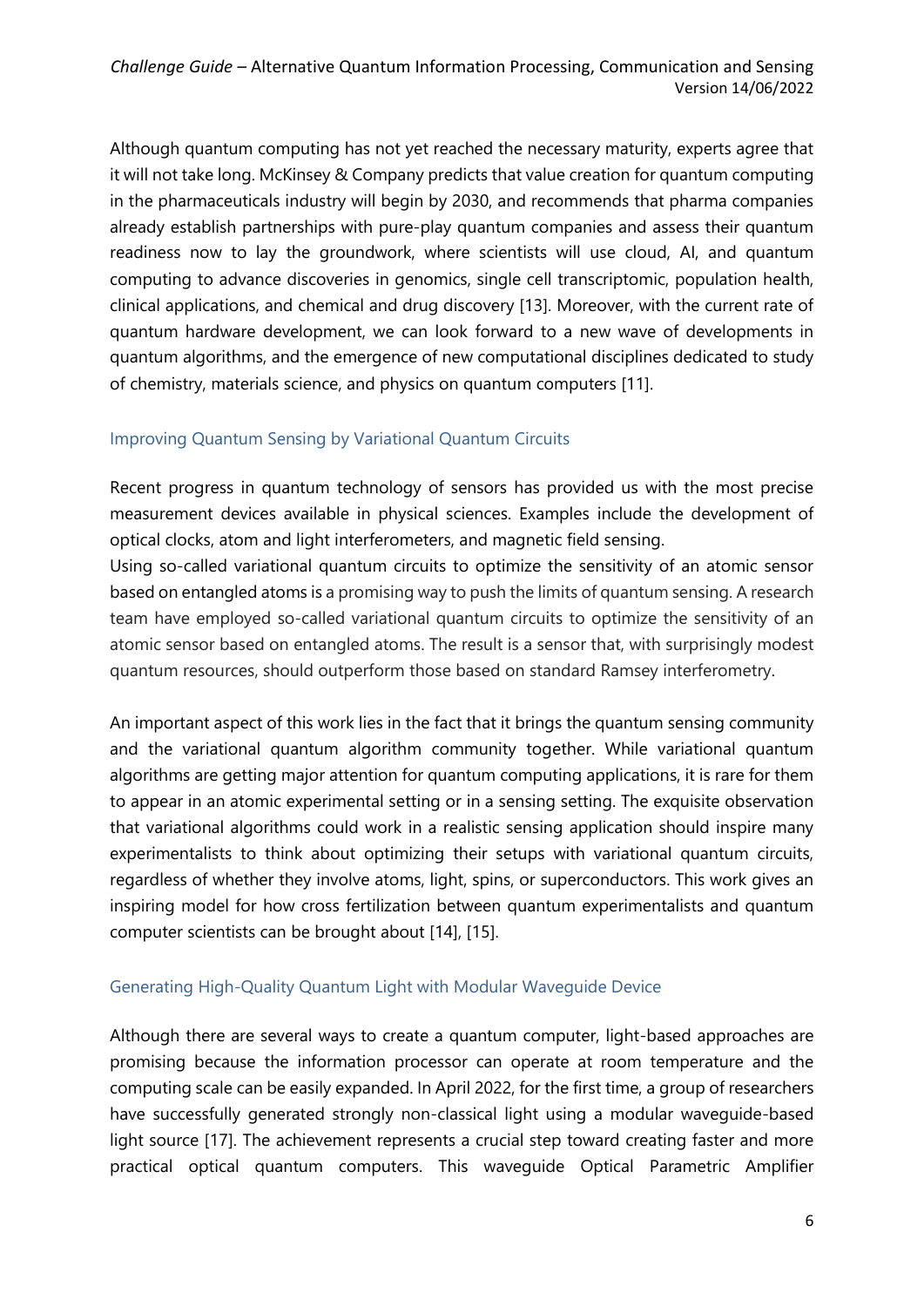Although quantum computing has not yet reached the necessary maturity, experts agree that it will not take long. McKinsey & Company predicts that value creation for quantum computing in the pharmaceuticals industry will begin by 2030, and recommends that pharma companies already establish partnerships with pure-play quantum companies and assess their quantum readiness now to lay the groundwork, where scientists will use cloud, AI, and quantum computing to advance discoveries in genomics, single cell transcriptomic, population health, clinical applications, and chemical and drug discovery [13]. Moreover, with the current rate of quantum hardware development, we can look forward to a new wave of developments in quantum algorithms, and the emergence of new computational disciplines dedicated to study of chemistry, materials science, and physics on quantum computers [11].

### <span id="page-5-0"></span>Improving Quantum Sensing by Variational Quantum Circuits

Recent progress in quantum technology of sensors has provided us with the most precise measurement devices available in physical sciences. Examples include the development of optical clocks, atom and light interferometers, and magnetic field sensing.

Using so-called variational quantum circuits to optimize the sensitivity of an atomic sensor based on entangled atoms is a promising way to push the limits of quantum sensing. A research team have employed so-called variational quantum circuits to optimize the sensitivity of an atomic sensor based on entangled atoms. The result is a sensor that, with surprisingly modest quantum resources, should outperform those based on standard Ramsey interferometry.

An important aspect of this work lies in the fact that it brings the quantum sensing community and the variational quantum algorithm community together. While variational quantum algorithms are getting major attention for quantum computing applications, it is rare for them to appear in an atomic experimental setting or in a sensing setting. The exquisite observation that variational algorithms could work in a realistic sensing application should inspire many experimentalists to think about optimizing their setups with variational quantum circuits, regardless of whether they involve atoms, light, spins, or superconductors. This work gives an inspiring model for how cross fertilization between quantum experimentalists and quantum computer scientists can be brought about [14], [15].

### <span id="page-5-1"></span>Generating High-Quality Quantum Light with Modular Waveguide Device

Although there are several ways to create a quantum computer, light-based approaches are promising because the information processor can operate at room temperature and the computing scale can be easily expanded. In April 2022, for the first time, a group of researchers have successfully generated strongly non-classical light using a modular waveguide-based light source [17]. The achievement represents a crucial step toward creating faster and more practical optical quantum computers. This waveguide Optical Parametric Amplifier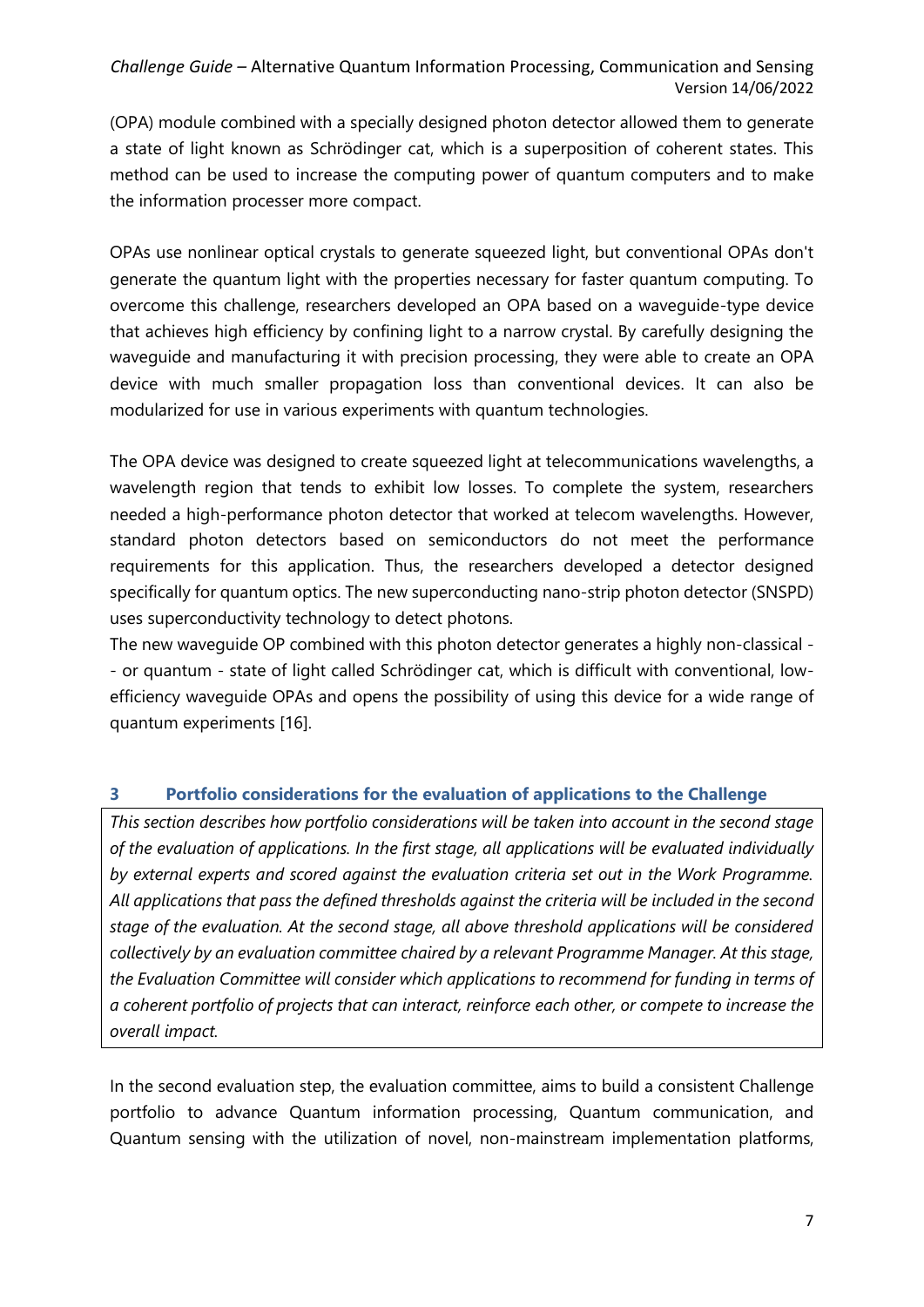(OPA) module combined with a specially designed photon detector allowed them to generate a state of light known as Schrödinger cat, which is a superposition of coherent states. This method can be used to increase the computing power of quantum computers and to make the information processer more compact.

OPAs use nonlinear optical crystals to generate squeezed light, but conventional OPAs don't generate the quantum light with the properties necessary for faster quantum computing. To overcome this challenge, researchers developed an OPA based on a waveguide-type device that achieves high efficiency by confining light to a narrow crystal. By carefully designing the waveguide and manufacturing it with precision processing, they were able to create an OPA device with much smaller propagation loss than conventional devices. It can also be modularized for use in various experiments with quantum technologies.

The OPA device was designed to create squeezed light at telecommunications wavelengths, a wavelength region that tends to exhibit low losses. To complete the system, researchers needed a high-performance photon detector that worked at telecom wavelengths. However, standard photon detectors based on semiconductors do not meet the performance requirements for this application. Thus, the researchers developed a detector designed specifically for quantum optics. The new superconducting nano-strip photon detector (SNSPD) uses superconductivity technology to detect photons.

The new waveguide OP combined with this photon detector generates a highly non-classical - - or quantum - state of light called Schrödinger cat, which is difficult with conventional, lowefficiency waveguide OPAs and opens the possibility of using this device for a wide range of quantum experiments [16].

#### <span id="page-6-0"></span>**3 Portfolio considerations for the evaluation of applications to the Challenge**

*This section describes how portfolio considerations will be taken into account in the second stage of the evaluation of applications. In the first stage, all applications will be evaluated individually by external experts and scored against the evaluation criteria set out in the Work Programme. All applications that pass the defined thresholds against the criteria will be included in the second stage of the evaluation. At the second stage, all above threshold applications will be considered collectively by an evaluation committee chaired by a relevant Programme Manager. At this stage, the Evaluation Committee will consider which applications to recommend for funding in terms of a coherent portfolio of projects that can interact, reinforce each other, or compete to increase the overall impact.* 

In the second evaluation step, the evaluation committee, aims to build a consistent Challenge portfolio to advance Quantum information processing, Quantum communication, and Quantum sensing with the utilization of novel, non-mainstream implementation platforms,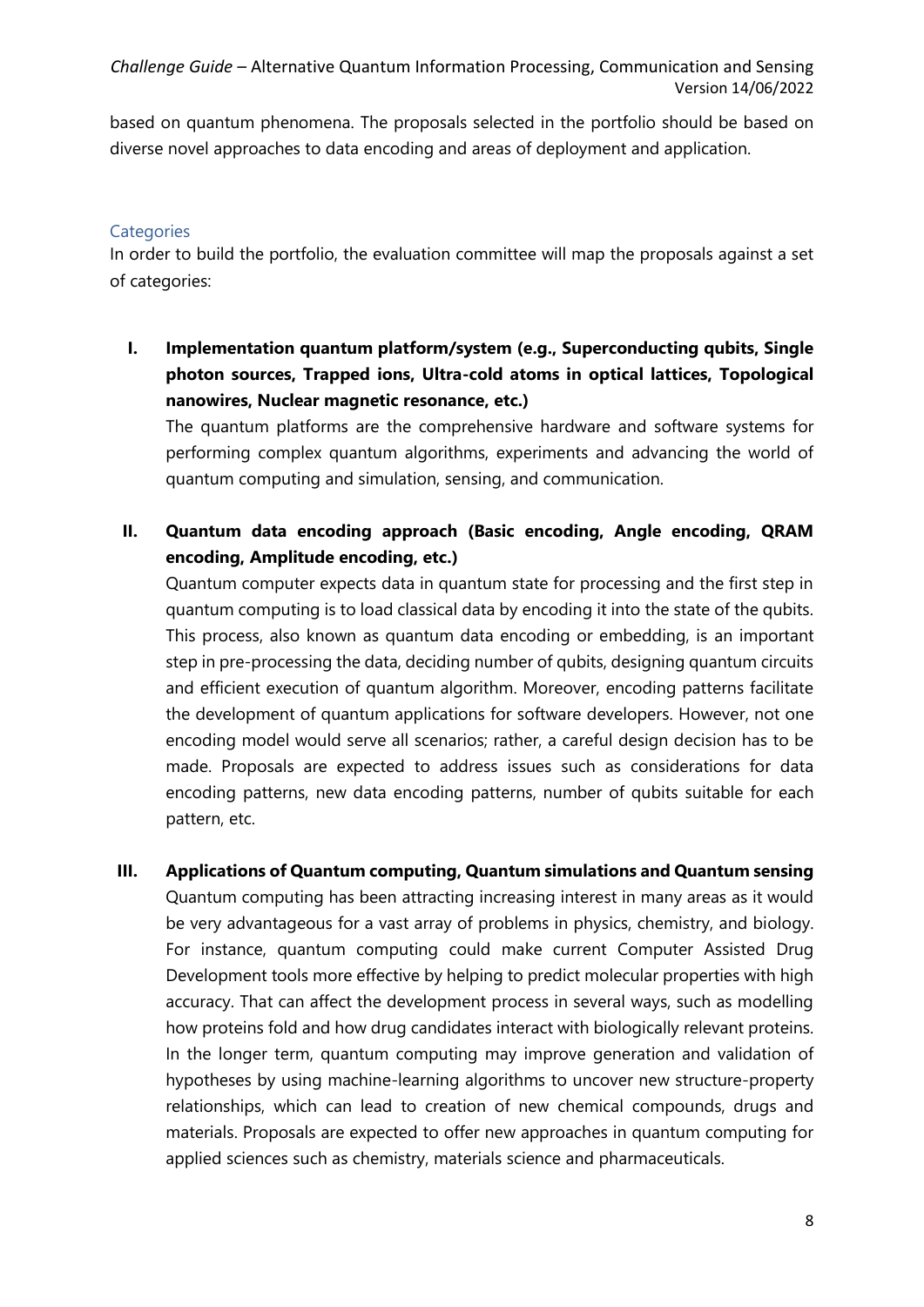based on quantum phenomena. The proposals selected in the portfolio should be based on diverse novel approaches to data encoding and areas of deployment and application.

### <span id="page-7-0"></span>**Categories**

In order to build the portfolio, the evaluation committee will map the proposals against a set of categories:

**I. Implementation quantum platform/system (e.g., Superconducting qubits, Single photon sources, Trapped ions, Ultra-cold atoms in optical lattices, Topological nanowires, Nuclear magnetic resonance, etc.)** 

The quantum platforms are the comprehensive hardware and software systems for performing complex quantum algorithms, experiments and advancing the world of quantum computing and simulation, sensing, and communication.

**II. Quantum data encoding approach (Basic encoding, Angle encoding, QRAM encoding, Amplitude encoding, etc.)** 

Quantum computer expects data in quantum state for processing and the first step in quantum computing is to load classical data by encoding it into the state of the qubits. This process, also known as quantum data encoding or embedding, is an important step in pre-processing the data, deciding number of qubits, designing quantum circuits and efficient execution of quantum algorithm. Moreover, encoding patterns facilitate the development of quantum applications for software developers. However, not one encoding model would serve all scenarios; rather, a careful design decision has to be made. Proposals are expected to address issues such as considerations for data encoding patterns, new data encoding patterns, number of qubits suitable for each pattern, etc.

**III. Applications of Quantum computing, Quantum simulations and Quantum sensing**  Quantum computing has been attracting increasing interest in many areas as it would be very advantageous for a vast array of problems in physics, chemistry, and biology. For instance, quantum computing could make current Computer Assisted Drug Development tools more effective by helping to predict molecular properties with high accuracy. That can affect the development process in several ways, such as modelling how proteins fold and how drug candidates interact with biologically relevant proteins. In the longer term, quantum computing may improve generation and validation of hypotheses by using machine-learning algorithms to uncover new structure-property relationships, which can lead to creation of new chemical compounds, drugs and materials. Proposals are expected to offer new approaches in quantum computing for applied sciences such as chemistry, materials science and pharmaceuticals.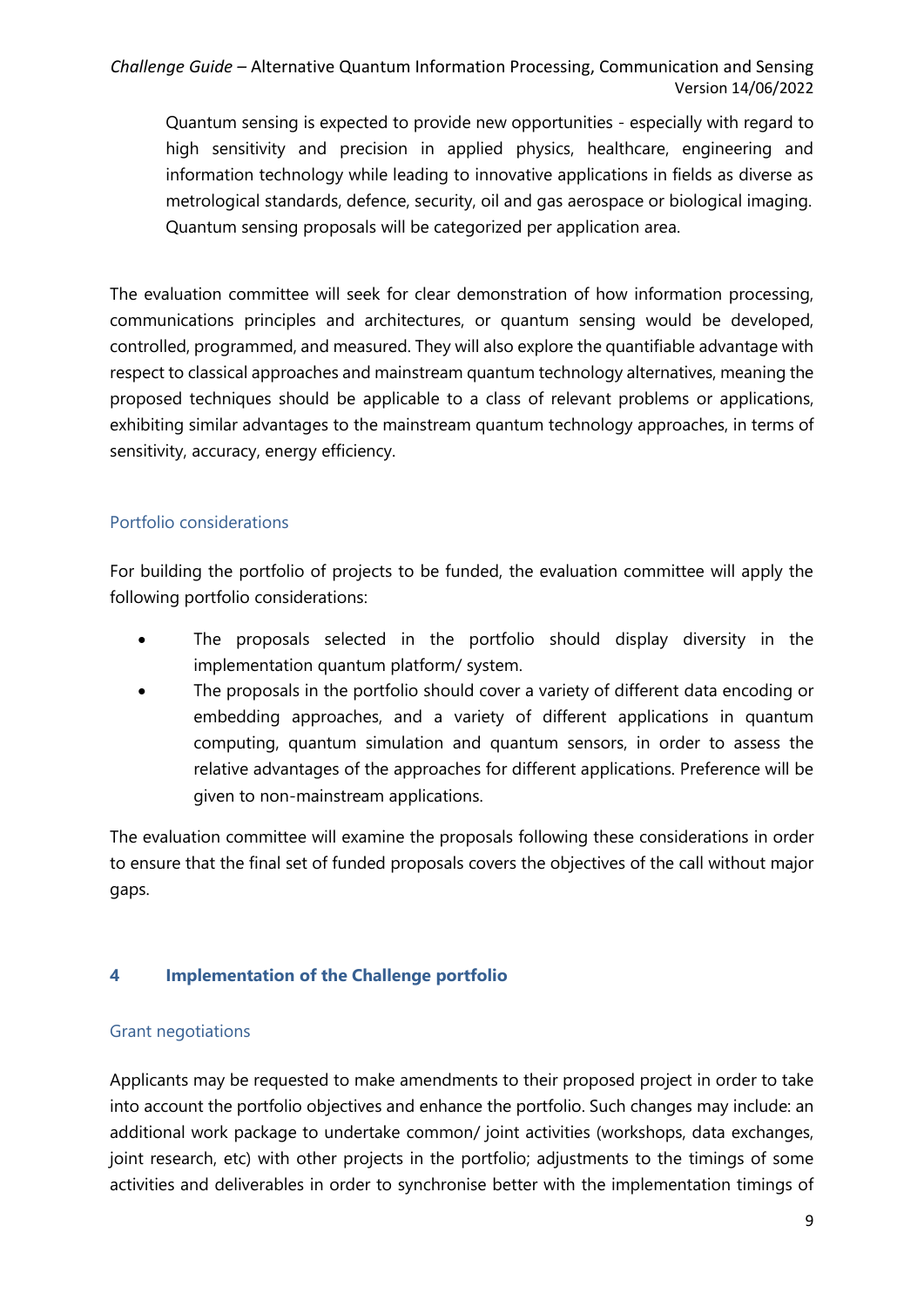Quantum sensing is expected to provide new opportunities - especially with regard to high sensitivity and precision in applied physics, healthcare, engineering and information technology while leading to innovative applications in fields as diverse as metrological standards, defence, security, oil and gas aerospace or biological imaging. Quantum sensing proposals will be categorized per application area.

The evaluation committee will seek for clear demonstration of how information processing, communications principles and architectures, or quantum sensing would be developed, controlled, programmed, and measured. They will also explore the quantifiable advantage with respect to classical approaches and mainstream quantum technology alternatives, meaning the proposed techniques should be applicable to a class of relevant problems or applications, exhibiting similar advantages to the mainstream quantum technology approaches, in terms of sensitivity, accuracy, energy efficiency.

### <span id="page-8-0"></span>Portfolio considerations

For building the portfolio of projects to be funded, the evaluation committee will apply the following portfolio considerations:

- The proposals selected in the portfolio should display diversity in the implementation quantum platform/ system.
- The proposals in the portfolio should cover a variety of different data encoding or embedding approaches, and a variety of different applications in quantum computing, quantum simulation and quantum sensors, in order to assess the relative advantages of the approaches for different applications. Preference will be given to non-mainstream applications.

The evaluation committee will examine the proposals following these considerations in order to ensure that the final set of funded proposals covers the objectives of the call without major gaps.

### <span id="page-8-1"></span>**4 Implementation of the Challenge portfolio**

#### <span id="page-8-2"></span>Grant negotiations

Applicants may be requested to make amendments to their proposed project in order to take into account the portfolio objectives and enhance the portfolio. Such changes may include: an additional work package to undertake common/ joint activities (workshops, data exchanges, joint research, etc) with other projects in the portfolio; adjustments to the timings of some activities and deliverables in order to synchronise better with the implementation timings of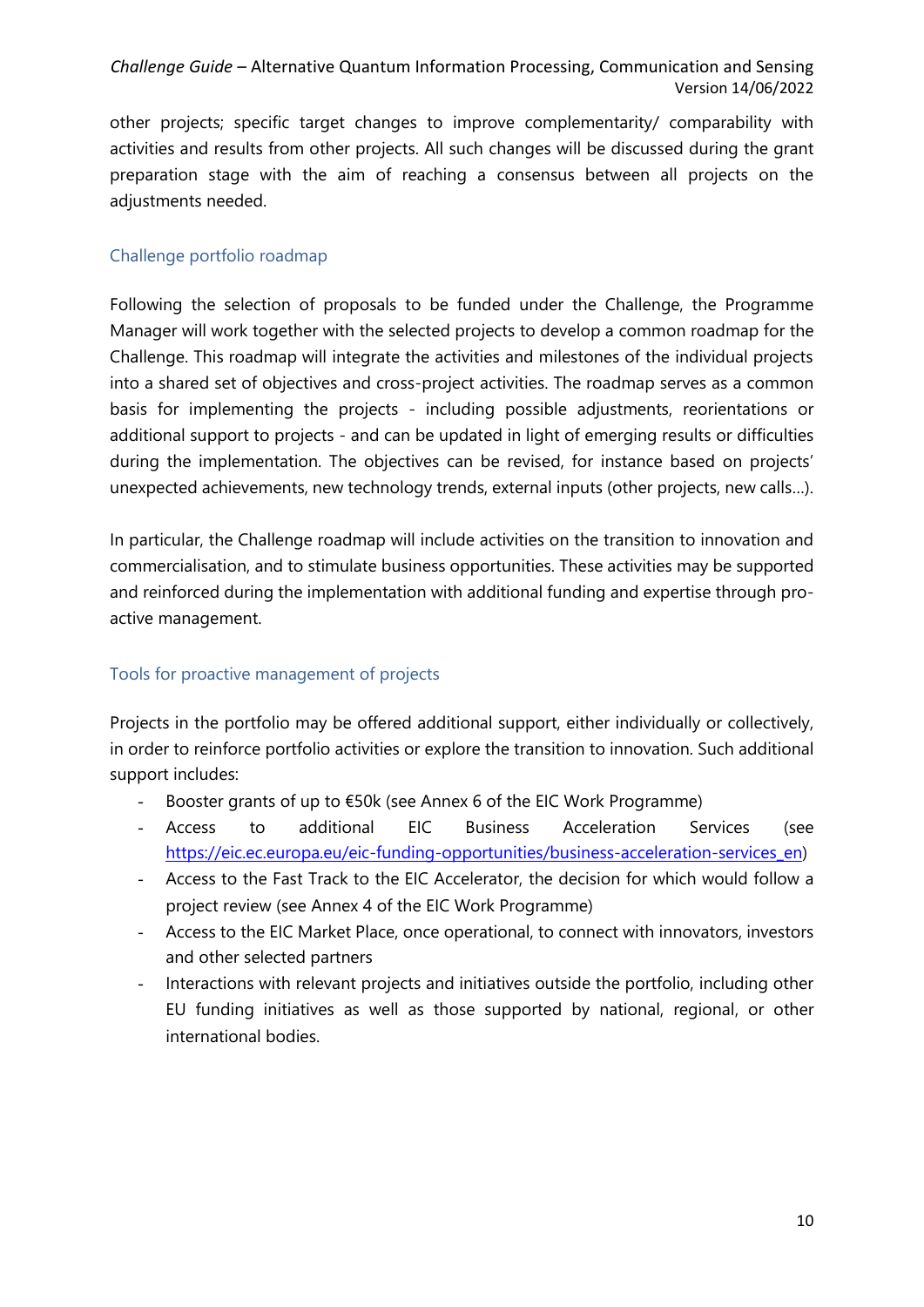other projects; specific target changes to improve complementarity/ comparability with activities and results from other projects. All such changes will be discussed during the grant preparation stage with the aim of reaching a consensus between all projects on the adjustments needed.

# <span id="page-9-0"></span>Challenge portfolio roadmap

Following the selection of proposals to be funded under the Challenge, the Programme Manager will work together with the selected projects to develop a common roadmap for the Challenge. This roadmap will integrate the activities and milestones of the individual projects into a shared set of objectives and cross-project activities. The roadmap serves as a common basis for implementing the projects - including possible adjustments, reorientations or additional support to projects - and can be updated in light of emerging results or difficulties during the implementation. The objectives can be revised, for instance based on projects' unexpected achievements, new technology trends, external inputs (other projects, new calls…).

In particular, the Challenge roadmap will include activities on the transition to innovation and commercialisation, and to stimulate business opportunities. These activities may be supported and reinforced during the implementation with additional funding and expertise through proactive management.

### <span id="page-9-1"></span>Tools for proactive management of projects

Projects in the portfolio may be offered additional support, either individually or collectively, in order to reinforce portfolio activities or explore the transition to innovation. Such additional support includes:

- Booster grants of up to €50k (see Annex 6 of the EIC Work Programme)
- Access to additional EIC Business Acceleration Services (see [https://eic.ec.europa.eu/eic-funding-opportunities/business-acceleration-services\\_en\)](https://eic.ec.europa.eu/eic-funding-opportunities/business-acceleration-services_en)
- Access to the Fast Track to the EIC Accelerator, the decision for which would follow a project review (see Annex 4 of the EIC Work Programme)
- Access to the EIC Market Place, once operational, to connect with innovators, investors and other selected partners
- Interactions with relevant projects and initiatives outside the portfolio, including other EU funding initiatives as well as those supported by national, regional, or other international bodies.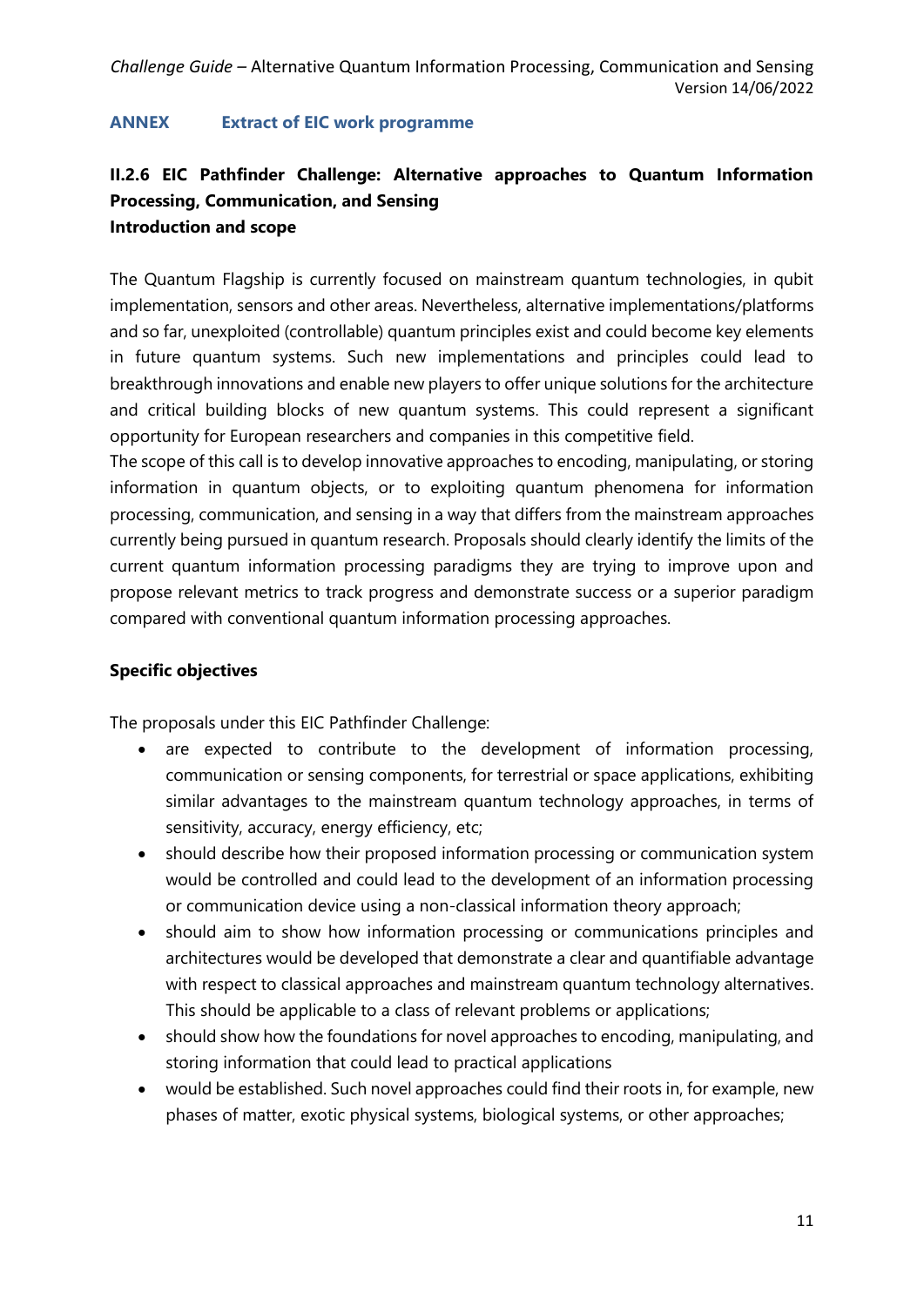#### <span id="page-10-0"></span>**ANNEX Extract of EIC work programme**

# **II.2.6 EIC Pathfinder Challenge: Alternative approaches to Quantum Information Processing, Communication, and Sensing Introduction and scope**

The Quantum Flagship is currently focused on mainstream quantum technologies, in qubit implementation, sensors and other areas. Nevertheless, alternative implementations/platforms and so far, unexploited (controllable) quantum principles exist and could become key elements in future quantum systems. Such new implementations and principles could lead to breakthrough innovations and enable new players to offer unique solutions for the architecture and critical building blocks of new quantum systems. This could represent a significant opportunity for European researchers and companies in this competitive field.

The scope of this call is to develop innovative approaches to encoding, manipulating, or storing information in quantum objects, or to exploiting quantum phenomena for information processing, communication, and sensing in a way that differs from the mainstream approaches currently being pursued in quantum research. Proposals should clearly identify the limits of the current quantum information processing paradigms they are trying to improve upon and propose relevant metrics to track progress and demonstrate success or a superior paradigm compared with conventional quantum information processing approaches.

### **Specific objectives**

The proposals under this EIC Pathfinder Challenge:

- are expected to contribute to the development of information processing, communication or sensing components, for terrestrial or space applications, exhibiting similar advantages to the mainstream quantum technology approaches, in terms of sensitivity, accuracy, energy efficiency, etc;
- should describe how their proposed information processing or communication system would be controlled and could lead to the development of an information processing or communication device using a non-classical information theory approach;
- should aim to show how information processing or communications principles and architectures would be developed that demonstrate a clear and quantifiable advantage with respect to classical approaches and mainstream quantum technology alternatives. This should be applicable to a class of relevant problems or applications;
- should show how the foundations for novel approaches to encoding, manipulating, and storing information that could lead to practical applications
- would be established. Such novel approaches could find their roots in, for example, new phases of matter, exotic physical systems, biological systems, or other approaches;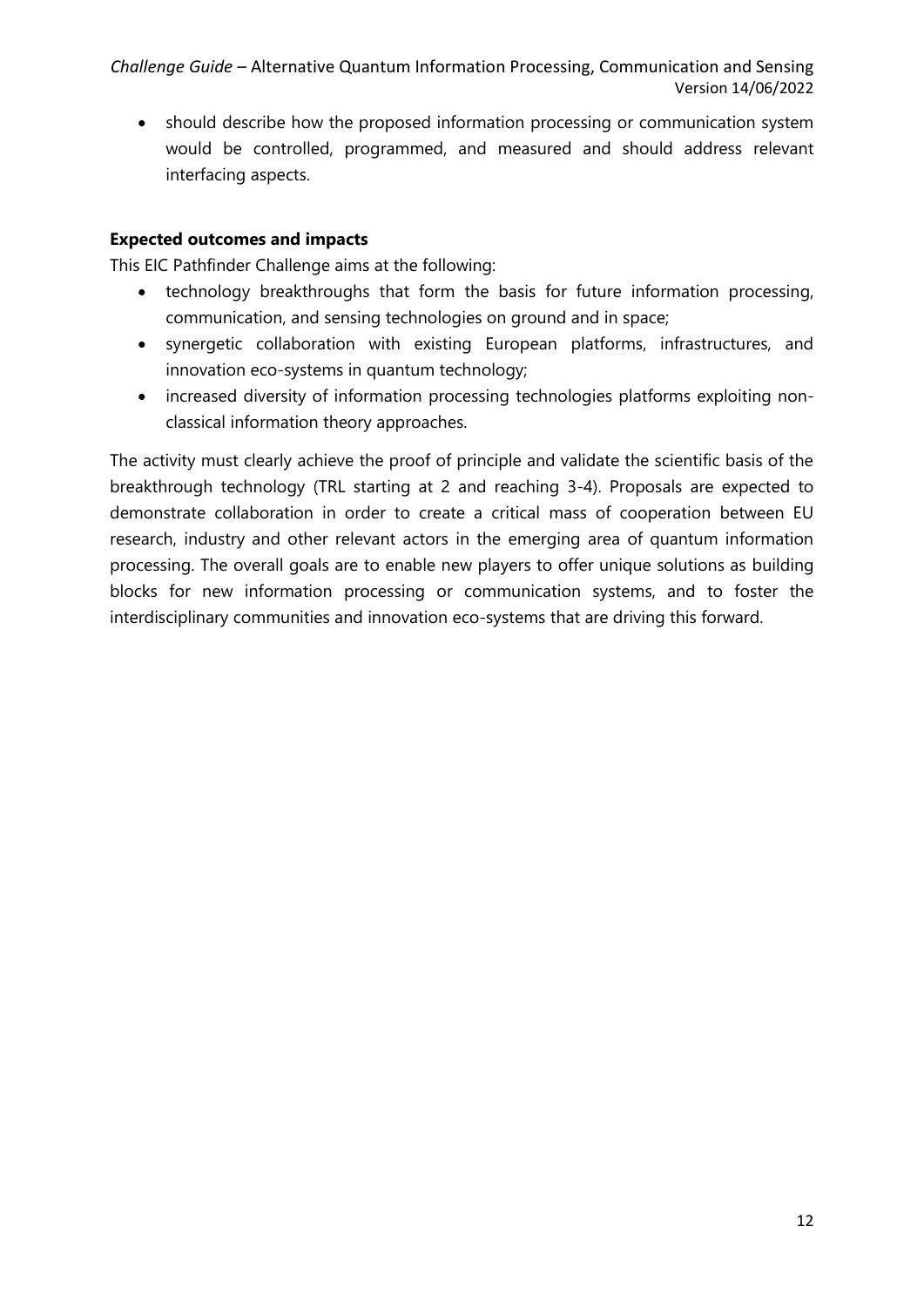should describe how the proposed information processing or communication system would be controlled, programmed, and measured and should address relevant interfacing aspects.

#### **Expected outcomes and impacts**

This EIC Pathfinder Challenge aims at the following:

- technology breakthroughs that form the basis for future information processing, communication, and sensing technologies on ground and in space;
- synergetic collaboration with existing European platforms, infrastructures, and innovation eco-systems in quantum technology;
- increased diversity of information processing technologies platforms exploiting nonclassical information theory approaches.

The activity must clearly achieve the proof of principle and validate the scientific basis of the breakthrough technology (TRL starting at 2 and reaching 3-4). Proposals are expected to demonstrate collaboration in order to create a critical mass of cooperation between EU research, industry and other relevant actors in the emerging area of quantum information processing. The overall goals are to enable new players to offer unique solutions as building blocks for new information processing or communication systems, and to foster the interdisciplinary communities and innovation eco-systems that are driving this forward.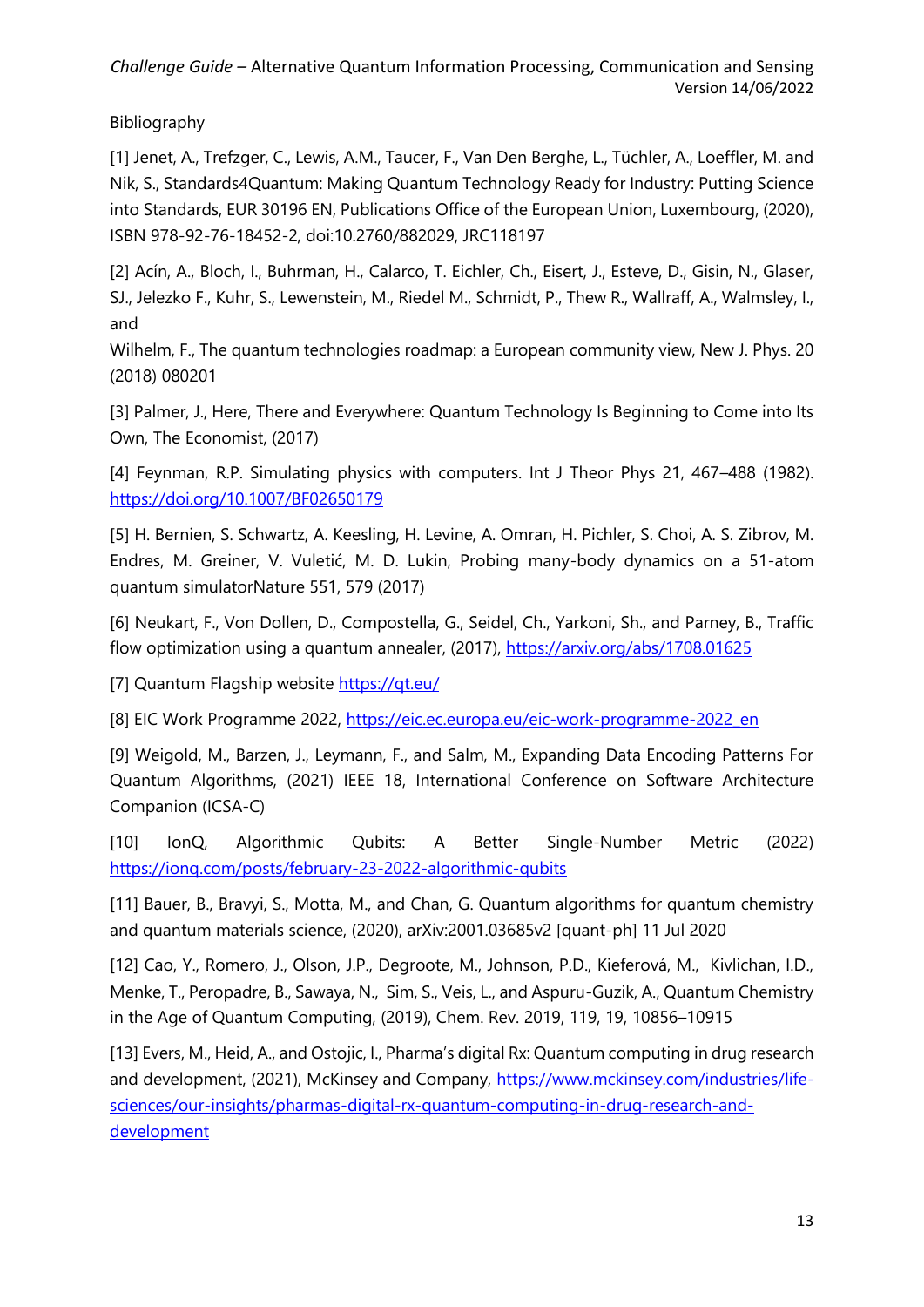Bibliography

[1] Jenet, A., Trefzger, C., Lewis, A.M., Taucer, F., Van Den Berghe, L., Tüchler, A., Loeffler, M. and Nik, S., Standards4Quantum: Making Quantum Technology Ready for Industry: Putting Science into Standards, EUR 30196 EN, Publications Office of the European Union, Luxembourg, (2020), ISBN 978-92-76-18452-2, doi:10.2760/882029, JRC118197

[2] Acín, A., Bloch, I., Buhrman, H., Calarco, T. Eichler, Ch., Eisert, J., Esteve, D., Gisin, N., Glaser, SJ., Jelezko F., Kuhr, S., Lewenstein, M., Riedel M., Schmidt, P., Thew R., Wallraff, A., Walmsley, I., and

Wilhelm, F., The quantum technologies roadmap: a European community view, New J. Phys. 20 (2018) 080201

[3] Palmer, J., Here, There and Everywhere: Quantum Technology Is Beginning to Come into Its Own, The Economist, (2017)

[4] Feynman, R.P. Simulating physics with computers. Int J Theor Phys 21, 467-488 (1982). <https://doi.org/10.1007/BF02650179>

[5] H. Bernien, S. Schwartz, A. Keesling, H. Levine, A. Omran, H. Pichler, S. Choi, A. S. Zibrov, M. Endres, M. Greiner, V. Vuletić, M. D. Lukin, Probing many-body dynamics on a 51-atom quantum simulatorNature 551, 579 (2017)

[6] Neukart, F., Von Dollen, D., Compostella, G., Seidel, Ch., Yarkoni, Sh., and Parney, B., Traffic flow optimization using a quantum annealer, (2017),<https://arxiv.org/abs/1708.01625>

[7] Quantum Flagship website <https://qt.eu/>

[8] EIC Work Programme 2022, [https://eic.ec.europa.eu/eic-work-programme-2022\\_en](https://eic.ec.europa.eu/eic-work-programme-2022_en)

[9] Weigold, M., Barzen, J., Leymann, F., and Salm, M., Expanding Data Encoding Patterns For Quantum Algorithms, (2021) IEEE 18, International Conference on Software Architecture Companion (ICSA-C)

[10] IonQ, Algorithmic Qubits: A Better Single-Number Metric (2022) <https://ionq.com/posts/february-23-2022-algorithmic-qubits>

[11] Bauer, B., Bravyi, S., Motta, M., and Chan, G. Quantum algorithms for quantum chemistry and quantum materials science, (2020), arXiv:2001.03685v2 [quant-ph] 11 Jul 2020

[12] Cao, Y., Romero, J., Olson, J.P., Degroote, M., Johnson, P.D., Kieferová, M., Kivlichan, I.D., Menke, T., Peropadre, B., Sawaya, N., Sim, S., Veis, L., and Aspuru-Guzik, A., Quantum Chemistry in the Age of Quantum Computing, (2019), Chem. Rev. 2019, 119, 19, 10856–10915

[13] Evers, M., Heid, A., and Ostojic, I., Pharma's digital Rx: Quantum computing in drug research and development, (2021), McKinsey and Company, [https://www.mckinsey.com/industries/life](https://www.mckinsey.com/industries/life-sciences/our-insights/pharmas-digital-rx-quantum-computing-in-drug-research-and-development)[sciences/our-insights/pharmas-digital-rx-quantum-computing-in-drug-research-and](https://www.mckinsey.com/industries/life-sciences/our-insights/pharmas-digital-rx-quantum-computing-in-drug-research-and-development)[development](https://www.mckinsey.com/industries/life-sciences/our-insights/pharmas-digital-rx-quantum-computing-in-drug-research-and-development)